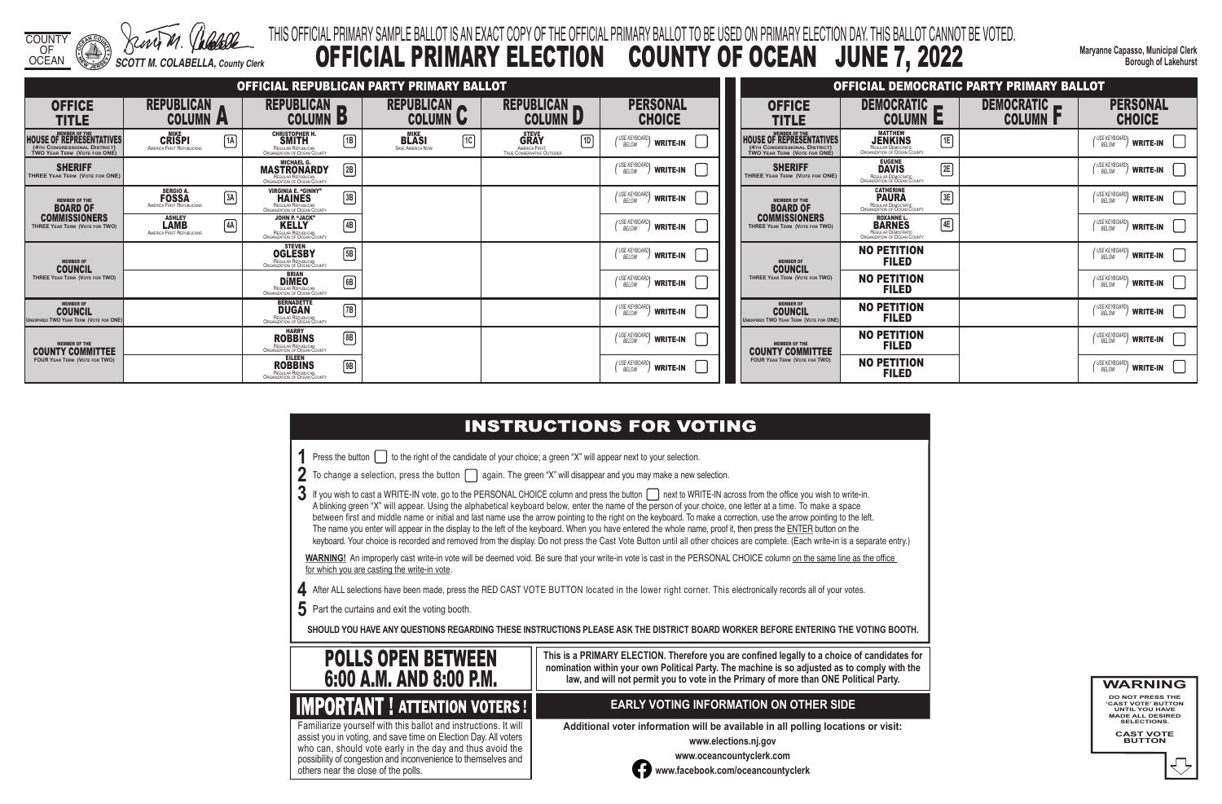COUNTY OF

OCEAN *SCOTT M. COLABELLA, County Clerk*

# **INSTRUCTIONS FOR VOTING**

**Maryanne Capasso, Municipal Clerk Borough of Lakehurst**

# THIS OFFICIAL PRIMARY SAMPLE BALLOT IS AN EXACT COPY OF THE OFFICIAL PRIMARY BALLOT TO BE USED ON PRIMARY ELECTION DAY. THIS BALLOT CANNOT BE VOTED. OFFICIAL PRIMARY ELECTION COUNTY OF OCEAN JUNE 7, 2022

- **1** Press the button **the right of the candidate of your choice**; a green "X" will appear next to your selection.
- **2** To change a selection, press the button **again.** The green "X" will disappear and you may make a new selection.
- 3 If you wish to cast a WRITE-IN vote, go to the PERSONAL CHOICE column and press the button next to WRITE-IN across from the office you wish to write-in. A blinking green "X" will appear. Using the alphabetical keyboard below, enter the name of the person of your choice, one letter at a time. To make a space between first and middle name or initial and last name use the arrow pointing to the right on the keyboard. To make a correction, use the arrow pointing to the left. The name you enter will appear in the display to the left of the keyboard. When you have entered the whole name, proof it, then press the ENTER button on the keyboard. Your choice is recorded and removed from the display. Do not press the Cast Vote Button until all other choices are complete. (Each write-in is a separate entry.)

WARNING! An improperly cast write-in vote will be deemed void. Be sure that your write-in vote is cast in the PERSONAL CHOICE column on the same line as the office for which you are casting the write-in vote.

- **4** After ALL selections have been made, press the RED CAST VOTE BUTTON located in the lower right corner. This electronically records all of your votes.
- **5** Part the curtains and exit the voting booth.

|                                                                                                                         |                                                                            | <b>OFFICIAL REPUBLICAN PARTY PRIMARY BALLOT</b>                                                                      |                                                                       |                                                                                            |                                            |                                                                                                 |
|-------------------------------------------------------------------------------------------------------------------------|----------------------------------------------------------------------------|----------------------------------------------------------------------------------------------------------------------|-----------------------------------------------------------------------|--------------------------------------------------------------------------------------------|--------------------------------------------|-------------------------------------------------------------------------------------------------|
| <b>OFFICE</b><br><b>TITLE</b>                                                                                           | <b>REPUBLICAN</b><br><b>COLUMN A</b>                                       | <b>REPUBLICAN</b><br><b>COLUMN</b><br>D                                                                              | <b>REPUBLICAN</b><br><b>COLUMN</b><br>V                               | <b>REPUBLICAN</b><br><b>COLUMN D</b>                                                       | <b>PERSONAL</b><br><b>CHOICE</b>           | <b>OFFICE</b><br><b>TITLE</b>                                                                   |
| <b>MEMBER OF THE</b><br><b>HOUSE OF REPRESENTATIVES</b><br>(4TH CONGRESSIONAL DISTRICT)<br>TWO YEAR TERM (VOTE FOR ONE) | <b>MIKE</b><br>$\sqrt{1A}$<br><b>CRISPI</b><br>AMERICA FIRST REPUBLICANS   | <b>CHRISTOPHER H.</b><br>佪<br><b>SMITH</b><br>REGULAR REPUBLICAN<br>ORGANIZATION OF OCEAN COUNTY                     | <b>MIKE</b><br>$\sqrt{10}$<br><b>BLASI</b><br><b>SAVE AMERICA NOW</b> | <b>STEVE</b><br>$\sqrt{10}$<br><b>GRAY</b><br>AMERICA FIRST:<br>TRUE CONSERVATIVE OUTSIDER | USE KEYBOARD<br><b>WRITE-IN</b>            | <b>HOUSE OF REPRESENTATIVES</b><br>(4TH CONGRESSIONAL DISTRICT)<br>TWO YEAR TERM (VOTE FOR ONE) |
| <b>SHERIFF</b><br>THREE YEAR TERM (VOTE FOR ONE)                                                                        |                                                                            | <b>MICHAEL G.</b><br>$\boxed{2B}$<br><b>MASTRONARDY</b><br>REGULAR REPUBLICAN<br><b>ORGANIZATION OF OCEAN COUNTY</b> |                                                                       |                                                                                            | I USE KEYBOARD<br><b>WRITE-IN</b><br>BELOW | <b>SHERIFF</b><br>THREE YEAR TERM (VOTE FOR ONE)                                                |
| <b>MEMBER OF THE</b><br><b>BOARD OF</b>                                                                                 | <b>SERGIO A.</b><br>3A<br><b>FOSSA</b><br><b>AMERICA FIRST REPUBLICANS</b> | <b>VIRGINIA E. "GINNY"</b><br>$\sqrt{3B}$<br><b>HAINES</b><br>REGULAR REPUBLICAN<br>ORGANIZATION OF OCEAN COUNTY     |                                                                       |                                                                                            | USE KEYBOARI<br><b>WRITE-IN</b><br>BELOW   | <b>MEMBER OF THE</b><br><b>BOARD OF</b>                                                         |
| <b>COMMISSIONERS</b><br>THREE YEAR TERM (VOTE FOR TWO)                                                                  | <b>ASHLEY</b><br>$\boxed{4A}$<br>LAMB<br><b>AMERICA FIRST REPUBLICANS</b>  | <b>JOHN P. "JACK"</b><br>$\boxed{4B}$<br><b>KELLY</b><br>REGULAR REPUBLICAN<br>ORGANIZATION OF OCEAN COUNTY          |                                                                       |                                                                                            | I USE KEYBOARI<br><b>WRITE-IN</b><br>BELOW | <b>COMMISSIONERS</b><br>THREE YEAR TERM (VOTE FOR TWO)                                          |
| <b>MEMBER OF</b><br><b>COUNCIL</b>                                                                                      |                                                                            | <b>STEVEN</b><br>$\sqrt{5B}$<br><b>OGLESBY</b><br>REGULAR REPUBLICAN<br>ORGANIZATION OF OCEAN COUNTY                 |                                                                       |                                                                                            | / USE KEYBOARD<br><b>WRITE-IN</b><br>BELOW | <b>MEMBER OF</b><br><b>COUNCIL</b>                                                              |
| THREE YEAR TERM (VOTE FOR TWO)                                                                                          |                                                                            | <b>BRIAN</b><br>6B<br><b>DiMEO</b><br>REGULAR REPUBLICAN<br>ORGANIZATION OF OCEAN COUNTY                             |                                                                       |                                                                                            | USE KEYBOARD<br>BELOW<br><b>WRITE-IN</b>   | THREE YEAR TERM (VOTE FOR TWO)                                                                  |
| <b>MEMBER OF</b><br><b>COUNCIL</b><br><b>UNEXPIRED TWO YEAR TERM (VOTE FOR ONE)</b>                                     |                                                                            | <b>BERNADETTE</b><br>$\sqrt{7B}$<br><b>DUGAN</b><br><b>REGULAR REPUBLICAN</b><br><b>ORGANIZATION OF OCEAN COUNTY</b> |                                                                       |                                                                                            | I USE KEYBOARI<br><b>WRITE-IN</b><br>BELOW | <b>MEMBER OF</b><br><b>COUNCIL</b><br><b>UNEXPIRED TWO YEAR TERM (VOTE FOR ONE)</b>             |
| <b>MEMBER OF THE</b><br><b>COUNTY COMMITTEE</b>                                                                         |                                                                            | <b>HARRY</b><br>$\boxed{8B}$<br><b>ROBBINS</b><br>REGULAR REPUBLICAN<br>ORGANIZATION OF OCEAN COUNTY                 |                                                                       |                                                                                            | / USE KEYBOARD<br><b>WRITE-IN</b><br>BELOW | <b>MEMBER OF THE</b><br><b>COUNTY COMMITTEE</b>                                                 |
| <b>FOUR YEAR TERM (VOTE FOR TWO)</b>                                                                                    |                                                                            | <b>EILEEN</b><br>俪<br><b>ROBBINS</b><br>REGULAR REPUBLICAN<br>ORGANIZATION OF OCEAN COUNTY                           |                                                                       |                                                                                            | USE KEYBOARL<br><b>WRITE-IN</b><br>BELOW   | <b>FOUR YEAR TERM (VOTE FOR TWO)</b>                                                            |

**SHOULD YOU HAVE ANY QUESTIONS REGARDING THESE INSTRUCTIONS PLEASE ASK THE DISTRICT BOARD WORKER BEFORE ENTERING THE VOTING BOOTH.**

**This is a PRIMARY ELECTION. Therefore you are confined legally to a choice of candidates for nomination within your own Political Party. The machine is so adjusted as to comply with the law, and will not permit you to vote in the Primary of more than ONE Political Party.**

 assist you in voting, and save time on Election Day. All voters Familiarize yourself with this ballot and instructions. It will who can, should vote early in the day and thus avoid the possibility of congestion and inconvenience to themselves and others near the close of the polls.

## **EARLY VOTING INFORMATION ON OTHER SIDE**

**Additional voter information will be available in all polling locations or visit:**

**www.elections.nj.gov** 



**www.oceancountyclerk.com <sup>w</sup>ww.facebook.com/oceancountyclerk** **WARNING** 



**DO NOT PRESS THE 'CAST VOTE' BUTTON UNTIL YOU HAVE MADE ALL DESIRED SELECTIONS. CAST VOTE BUTTON**



# **IMPORTANT ! ATTENTION VOTERS !**

|                                                                                                      |                                                                                                 |    | OFFICIAL DEMOCRATIC PARTY PRIMARY BALLOT |                                                            |
|------------------------------------------------------------------------------------------------------|-------------------------------------------------------------------------------------------------|----|------------------------------------------|------------------------------------------------------------|
| OFFICE<br>TITLE                                                                                      | <b>DEMOCRATIC</b><br>COLUMN<br>c                                                                |    | <b>DEMOCRATIC</b><br><b>COLUMN F</b>     | <b>PERSONAL</b><br><b>CHOICE</b>                           |
| <b>MEMBER OF THE</b><br>OF REPRESENTATIVES<br>ONGRESSIONAL DISTRICT)<br>$\,$ ear Term (Vote for ONÉ) | <b>MATTHEW</b><br><b>JENKINS</b><br>REGULAR DEMOCRATIC<br>ORGANIZATION OF OCEAN COUNTY          | 1E |                                          | ( USE KEYBOARD)<br><b>WRITE-IN</b><br>BELOW                |
| <b>SHERIFF</b><br><b>EAR TERM (VOTE FOR ONE)</b>                                                     | <b>EUGENE</b><br><b>DAVIS</b><br>REGULAR DEMOCRATIC<br>ORGANIZATION OF OCEAN COUNTY             | 2E |                                          | (USE KEYBOARD)<br><b>WRITE-IN</b><br>BELOW                 |
| <b>MEMBER OF THE</b><br><b>BOARD OF</b>                                                              | <b>CATHERINE</b><br><b>PAURA</b><br>REGULAR DEMOCRATIC<br>ORGANIZATION OF OCEAN COUNTY          | 3E |                                          | ' USE KEYBOARD)<br><b>WRITE-IN</b><br><b>BELOW</b>         |
| MMISSIONERS<br>YEAR TERM (VOTE FOR TWO)                                                              | <b>ROXANNE L.</b><br><b>BARNES</b><br>REGULAR DEMOCRATIC<br><b>ORGANIZATION OF OCEAN COUNTY</b> | 4E |                                          | ( USE KEYBOARD)<br><b>WRITE-IN</b><br><b>BELOW</b>         |
| <b>MEMBER OF</b><br><b>COUNCIL</b>                                                                   | <b>NO PETITION</b><br><b>FILED</b>                                                              |    |                                          | ' USE KEYBOARD)<br><b>WRITE-IN</b><br>BELOW                |
| YEAR TERM (VOTE FOR TWO)                                                                             | <b>NO PETITION</b><br><b>FILED</b>                                                              |    |                                          | I USE KEYBOARDI<br><b>WRITE-IN</b><br><b>BELOW</b>         |
| <b>MEMBER OF</b><br><b>COUNCIL</b><br><b>WO YEAR TERM (VOTE FOR ONE)</b>                             | <b>NO PETITION</b><br><b>FILED</b>                                                              |    |                                          | ( USE KEYBOARD <b>)</b><br><b>WRITE-IN</b><br><b>BELOW</b> |
| <b>MEMBER OF THE</b><br>NTY COMMITTEE                                                                | <b>NO PETITION</b><br><b>FILED</b>                                                              |    |                                          | (USE KEYBOARD)<br><b>WRITE-IN</b><br>BELOW                 |
| <b>FEAR TERM (VOTE FOR TWO)</b>                                                                      | <b>NO PETITION</b><br><b>FILED</b>                                                              |    |                                          | I USE KEYBOARD <b>\</b><br><b>WRITE-IN</b><br>BELOW        |